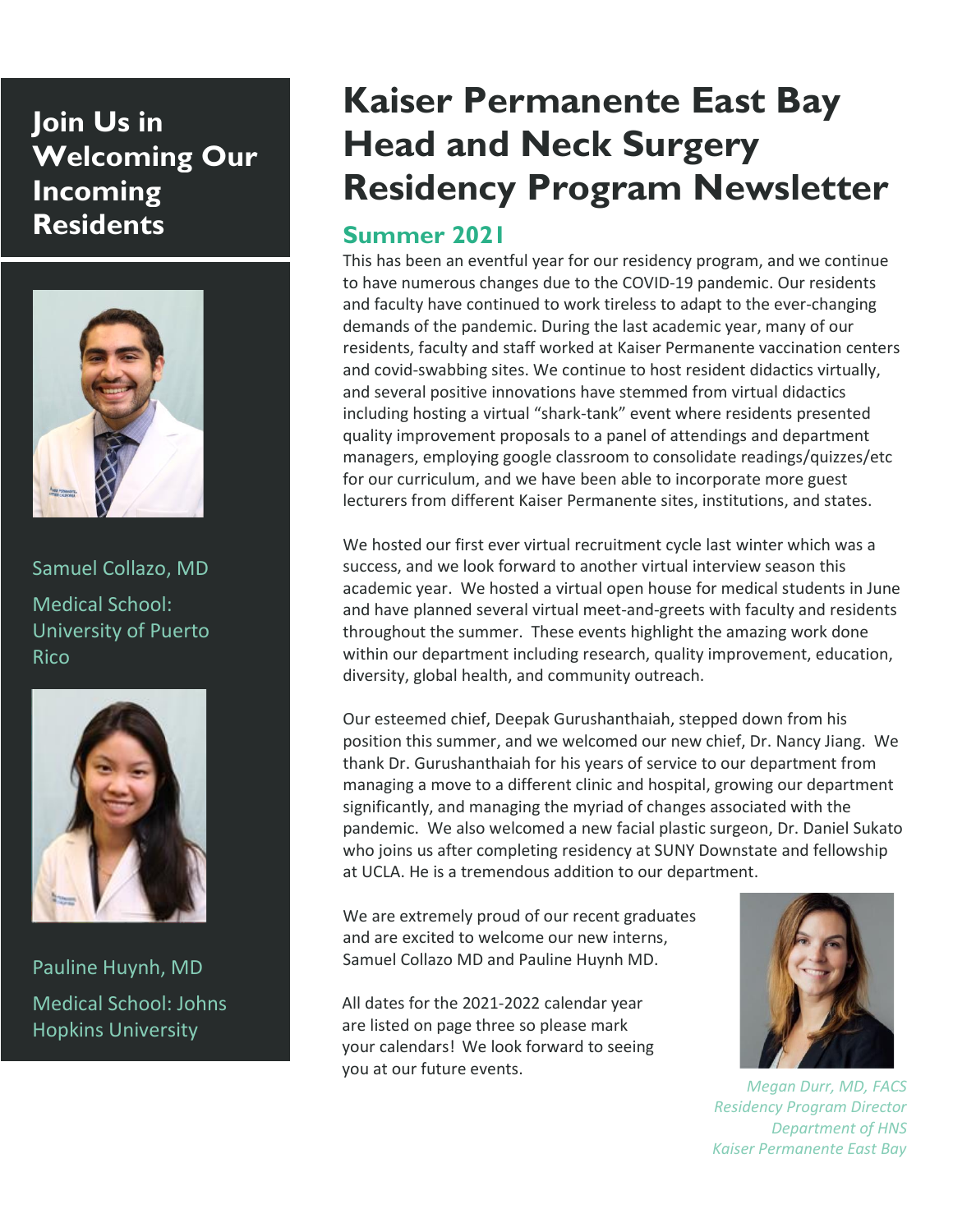# **Join Us in Welcoming Our Incoming Residents**



Samuel Collazo, MD Medical School: University of Puerto Rico



Pauline Huynh, MD Medical School: Johns Hopkins University

# **Kaiser Permanente East Bay Head and Neck Surgery Residency Program Newsletter**

## **Summer 2021**

This has been an eventful year for our residency program, and we continue to have numerous changes due to the COVID-19 pandemic. Our residents and faculty have continued to work tireless to adapt to the ever-changing demands of the pandemic. During the last academic year, many of our residents, faculty and staff worked at Kaiser Permanente vaccination centers and covid-swabbing sites. We continue to host resident didactics virtually, and several positive innovations have stemmed from virtual didactics including hosting a virtual "shark-tank" event where residents presented quality improvement proposals to a panel of attendings and department managers, employing google classroom to consolidate readings/quizzes/etc for our curriculum, and we have been able to incorporate more guest lecturers from different Kaiser Permanente sites, institutions, and states.

We hosted our first ever virtual recruitment cycle last winter which was a success, and we look forward to another virtual interview season this academic year. We hosted a virtual open house for medical students in June and have planned several virtual meet-and-greets with faculty and residents throughout the summer. These events highlight the amazing work done within our department including research, quality improvement, education, diversity, global health, and community outreach.

Our esteemed chief, Deepak Gurushanthaiah, stepped down from his position this summer, and we welcomed our new chief, Dr. Nancy Jiang. We thank Dr. Gurushanthaiah for his years of service to our department from managing a move to a different clinic and hospital, growing our department significantly, and managing the myriad of changes associated with the pandemic. We also welcomed a new facial plastic surgeon, Dr. Daniel Sukato who joins us after completing residency at SUNY Downstate and fellowship at UCLA. He is a tremendous addition to our department.

We are extremely proud of our recent graduates and are excited to welcome our new interns, Samuel Collazo MD and Pauline Huynh MD.

All dates for the 2021-2022 calendar year are listed on page three so please mark your calendars! We look forward to seeing you at our future events.



*Megan Durr, MD, FACS Residency Program Director Department of HNS Kaiser Permanente East Bay*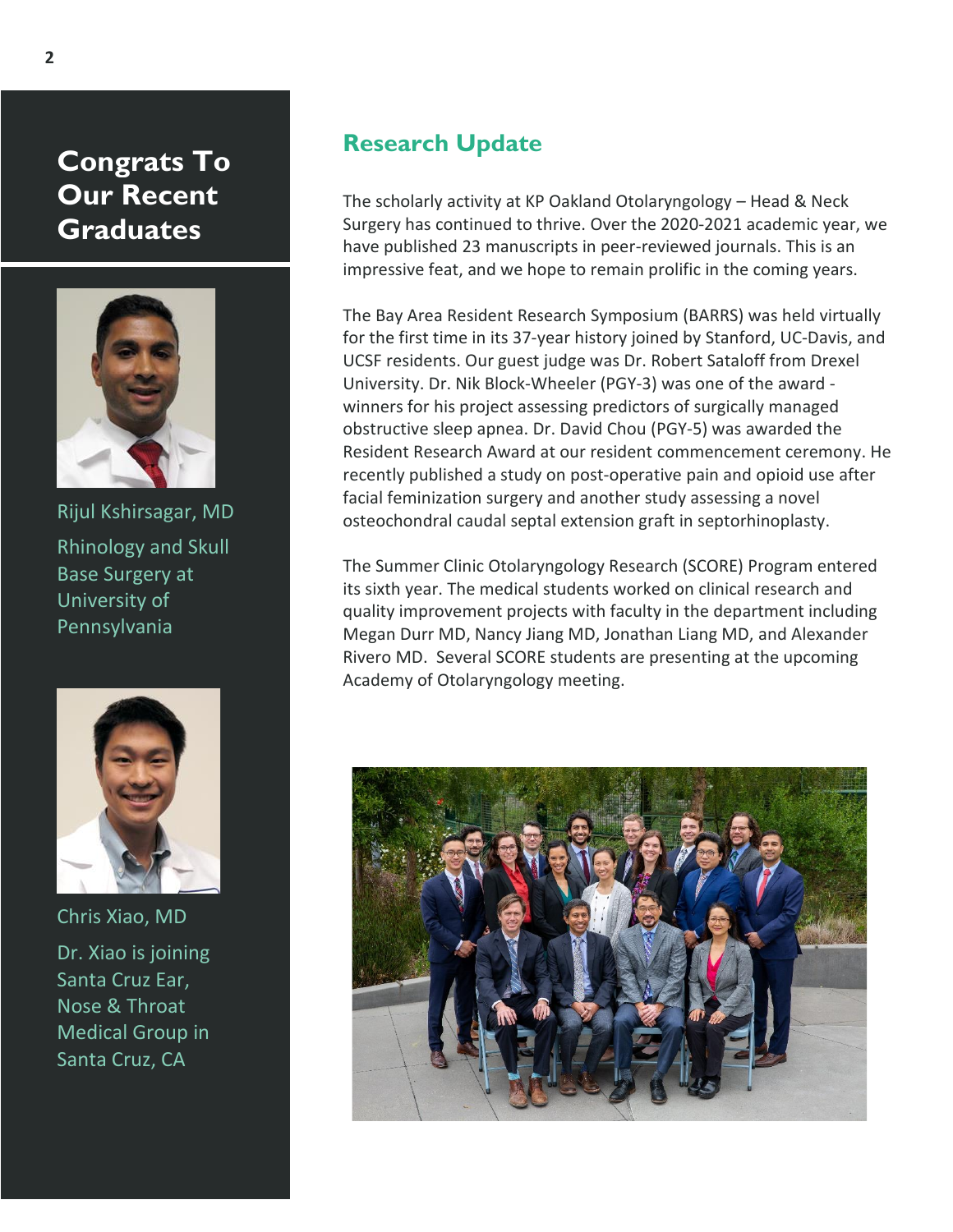**Congrats To Our Recent Graduates**



Rijul Kshirsagar, MD Rhinology and Skull Base Surgery at University of Pennsylvania



Chris Xiao, MD Dr. Xiao is joining Santa Cruz Ear, Nose & Throat Medical Group in Santa Cruz, CA

#### **Research Update**

The scholarly activity at KP Oakland Otolaryngology – Head & Neck Surgery has continued to thrive. Over the 2020-2021 academic year, we have published 23 manuscripts in peer-reviewed journals. This is an impressive feat, and we hope to remain prolific in the coming years.

The Bay Area Resident Research Symposium (BARRS) was held virtually for the first time in its 37-year history joined by Stanford, UC-Davis, and UCSF residents. Our guest judge was Dr. Robert Sataloff from Drexel University. Dr. Nik Block-Wheeler (PGY-3) was one of the award winners for his project assessing predictors of surgically managed obstructive sleep apnea. Dr. David Chou (PGY-5) was awarded the Resident Research Award at our resident commencement ceremony. He recently published a study on post-operative pain and opioid use after facial feminization surgery and another study assessing a novel osteochondral caudal septal extension graft in septorhinoplasty.

The Summer Clinic Otolaryngology Research (SCORE) Program entered its sixth year. The medical students worked on clinical research and quality improvement projects with faculty in the department including Megan Durr MD, Nancy Jiang MD, Jonathan Liang MD, and Alexander Rivero MD. Several SCORE students are presenting at the upcoming Academy of Otolaryngology meeting.